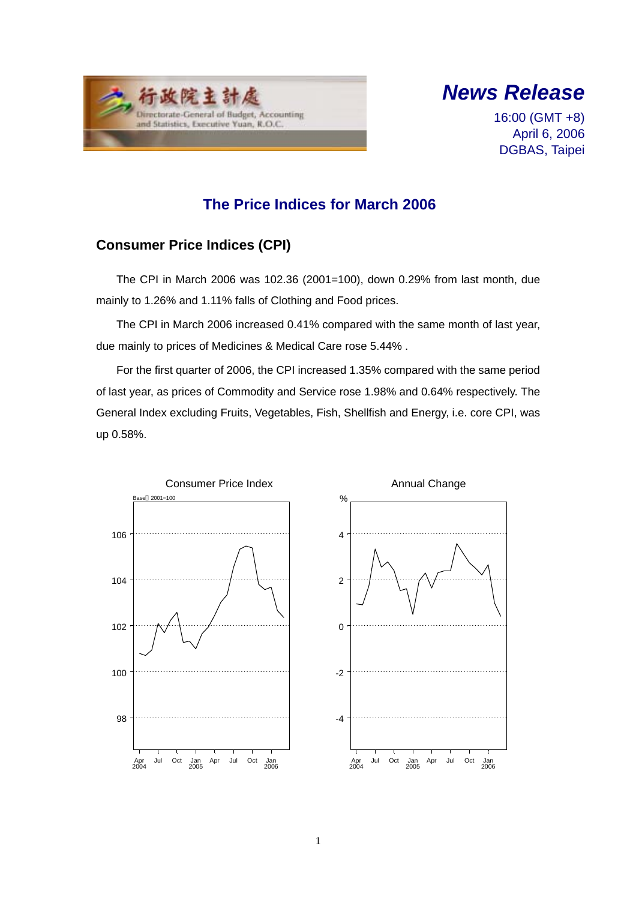



16:00 (GMT +8) April 6, 2006 DGBAS, Taipei

### **The Price Indices for March 2006**

### **Consumer Price Indices (CPI)**

The CPI in March 2006 was 102.36 (2001=100), down 0.29% from last month, due mainly to 1.26% and 1.11% falls of Clothing and Food prices.

The CPI in March 2006 increased 0.41% compared with the same month of last year, due mainly to prices of Medicines & Medical Care rose 5.44% .

For the first quarter of 2006, the CPI increased 1.35% compared with the same period of last year, as prices of Commodity and Service rose 1.98% and 0.64% respectively. The General Index excluding Fruits, Vegetables, Fish, Shellfish and Energy, i.e. core CPI, was up 0.58%.

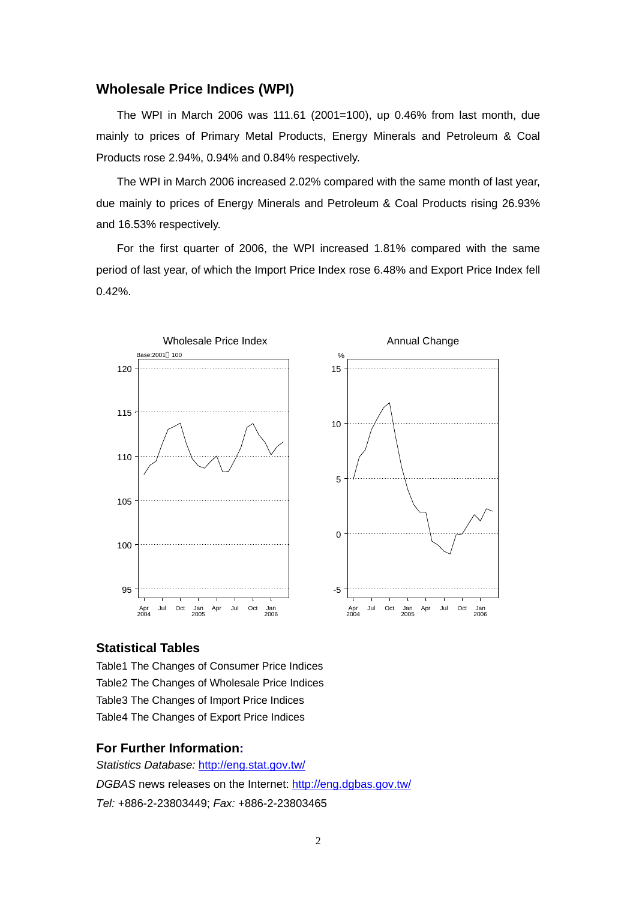#### **Wholesale Price Indices (WPI)**

The WPI in March 2006 was 111.61 (2001=100), up 0.46% from last month, due mainly to prices of Primary Metal Products, Energy Minerals and Petroleum & Coal Products rose 2.94%, 0.94% and 0.84% respectively.

The WPI in March 2006 increased 2.02% compared with the same month of last year, due mainly to prices of Energy Minerals and Petroleum & Coal Products rising 26.93% and 16.53% respectively.

For the first quarter of 2006, the WPI increased 1.81% compared with the same period of last year, of which the Import Price Index rose 6.48% and Export Price Index fell 0.42%.



#### **Statistical Tables**

Table1 The Changes of Consumer Price Indices Table2 The Changes of Wholesale Price Indices Table3 The Changes of Import Price Indices Table4 The Changes of Export Price Indices

#### **For Further Information:**

*Statistics Database:* http://eng.stat.gov.tw/ *DGBAS* news releases on the Internet: http://eng.dgbas.gov.tw/ *Tel:* +886-2-23803449; *Fax:* +886-2-23803465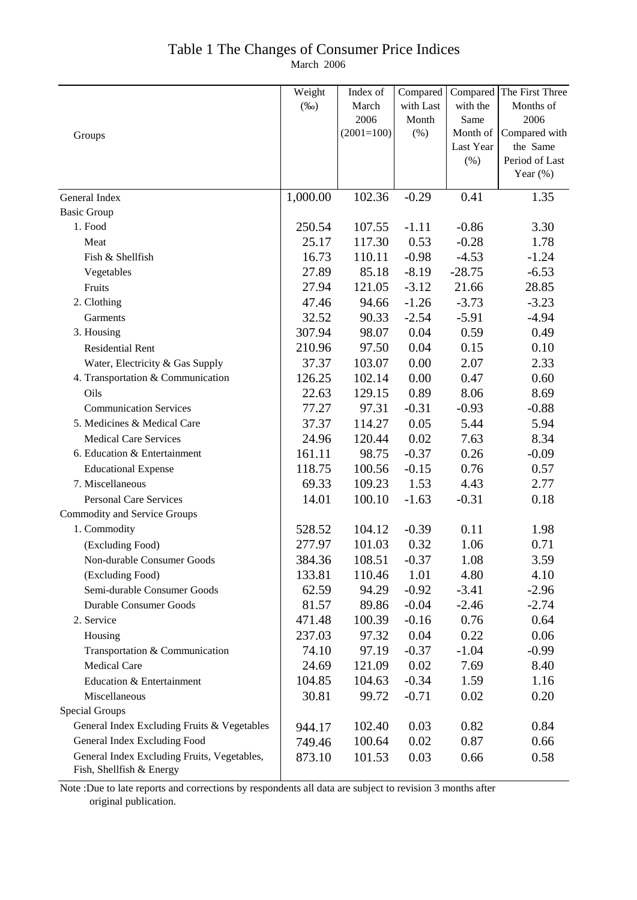### Table 1 The Changes of Consumer Price Indices

March 2006

|                                             | Weight   | Index of     | Compared  |                  | Compared The First Three   |
|---------------------------------------------|----------|--------------|-----------|------------------|----------------------------|
|                                             | $(\%0)$  | March        | with Last | with the         | Months of                  |
|                                             |          | 2006         | Month     | Same             | 2006                       |
| Groups                                      |          | $(2001=100)$ | (%)       | Month of         | Compared with              |
|                                             |          |              |           | Last Year<br>(%) | the Same<br>Period of Last |
|                                             |          |              |           |                  | Year $(\%)$                |
|                                             |          |              |           |                  |                            |
| General Index                               | 1,000.00 | 102.36       | $-0.29$   | 0.41             | 1.35                       |
| <b>Basic Group</b>                          |          |              |           |                  |                            |
| 1. Food                                     | 250.54   | 107.55       | $-1.11$   | $-0.86$          | 3.30                       |
| Meat                                        | 25.17    | 117.30       | 0.53      | $-0.28$          | 1.78                       |
| Fish & Shellfish                            | 16.73    | 110.11       | $-0.98$   | $-4.53$          | $-1.24$                    |
| Vegetables                                  | 27.89    | 85.18        | $-8.19$   | $-28.75$         | $-6.53$                    |
| Fruits                                      | 27.94    | 121.05       | $-3.12$   | 21.66            | 28.85                      |
| 2. Clothing                                 | 47.46    | 94.66        | $-1.26$   | $-3.73$          | $-3.23$                    |
| Garments                                    | 32.52    | 90.33        | $-2.54$   | $-5.91$          | $-4.94$                    |
| 3. Housing                                  | 307.94   | 98.07        | 0.04      | 0.59             | 0.49                       |
| <b>Residential Rent</b>                     | 210.96   | 97.50        | 0.04      | 0.15             | 0.10                       |
| Water, Electricity & Gas Supply             | 37.37    | 103.07       | 0.00      | 2.07             | 2.33                       |
| 4. Transportation & Communication           | 126.25   | 102.14       | 0.00      | 0.47             | 0.60                       |
| Oils                                        | 22.63    | 129.15       | 0.89      | 8.06             | 8.69                       |
| <b>Communication Services</b>               | 77.27    | 97.31        | $-0.31$   | $-0.93$          | $-0.88$                    |
| 5. Medicines & Medical Care                 | 37.37    | 114.27       | 0.05      | 5.44             | 5.94                       |
| <b>Medical Care Services</b>                | 24.96    | 120.44       | 0.02      | 7.63             | 8.34                       |
| 6. Education & Entertainment                | 161.11   | 98.75        | $-0.37$   | 0.26             | $-0.09$                    |
| <b>Educational Expense</b>                  | 118.75   | 100.56       | $-0.15$   | 0.76             | 0.57                       |
| 7. Miscellaneous                            | 69.33    | 109.23       | 1.53      | 4.43             | 2.77                       |
| <b>Personal Care Services</b>               | 14.01    | 100.10       | $-1.63$   | $-0.31$          | 0.18                       |
| <b>Commodity and Service Groups</b>         |          |              |           |                  |                            |
| 1. Commodity                                | 528.52   | 104.12       | $-0.39$   | 0.11             | 1.98                       |
| (Excluding Food)                            | 277.97   | 101.03       | 0.32      | 1.06             | 0.71                       |
| Non-durable Consumer Goods                  | 384.36   | 108.51       | $-0.37$   | 1.08             | 3.59                       |
| (Excluding Food)                            | 133.81   | 110.46       | 1.01      | 4.80             | 4.10                       |
| Semi-durable Consumer Goods                 | 62.59    | 94.29        | $-0.92$   | $-3.41$          | $-2.96$                    |
| <b>Durable Consumer Goods</b>               | 81.57    | 89.86        | $-0.04$   | $-2.46$          | $-2.74$                    |
| 2. Service                                  | 471.48   | 100.39       | $-0.16$   | 0.76             | 0.64                       |
| Housing                                     | 237.03   | 97.32        | 0.04      | 0.22             | 0.06                       |
| Transportation & Communication              | 74.10    | 97.19        | $-0.37$   | $-1.04$          | $-0.99$                    |
| <b>Medical Care</b>                         | 24.69    | 121.09       | 0.02      | 7.69             | 8.40                       |
| Education & Entertainment                   | 104.85   | 104.63       | $-0.34$   | 1.59             | 1.16                       |
| Miscellaneous                               | 30.81    | 99.72        | $-0.71$   | 0.02             | 0.20                       |
| <b>Special Groups</b>                       |          |              |           |                  |                            |
| General Index Excluding Fruits & Vegetables | 944.17   | 102.40       | 0.03      | 0.82             | 0.84                       |
| General Index Excluding Food                | 749.46   | 100.64       | 0.02      | 0.87             | 0.66                       |
| General Index Excluding Fruits, Vegetables, | 873.10   | 101.53       | 0.03      | 0.66             | 0.58                       |
| Fish, Shellfish & Energy                    |          |              |           |                  |                            |

Note :Due to late reports and corrections by respondents all data are subject to revision 3 months after original publication.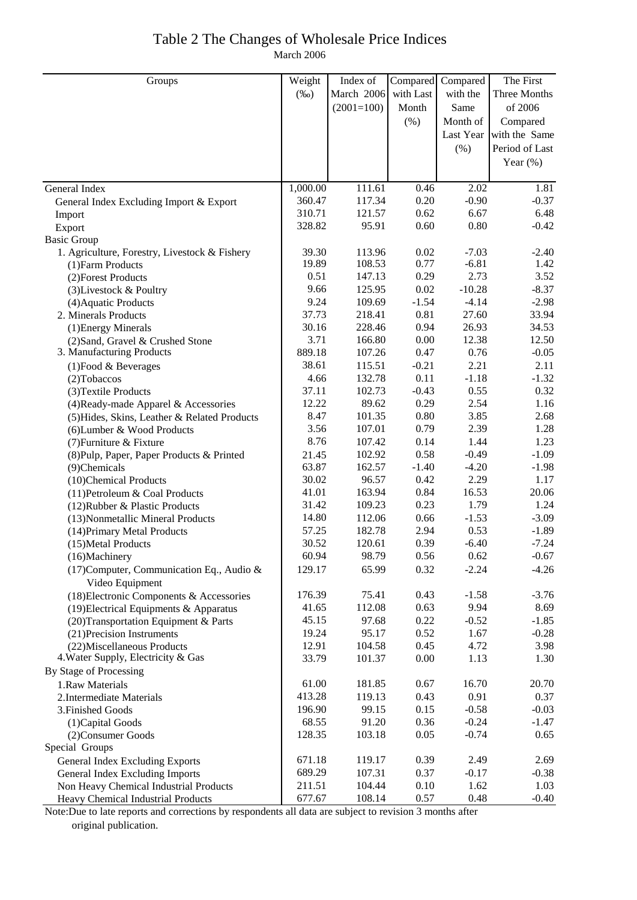#### Table 2 The Changes of Wholesale Price Indices March 2006

| with Last<br>March 2006<br>with the<br>Three Months<br>$(\%0)$<br>$(2001=100)$<br>Same<br>of 2006<br>Month<br>(% )<br>Compared<br>Month of<br>Last Year<br>with the Same<br>Period of Last<br>$(\% )$<br>Year $(\%)$<br>1,000.00<br>111.61<br>0.46<br>2.02<br>1.81<br>General Index<br>360.47<br>0.20<br>$-0.90$<br>117.34<br>$-0.37$<br>General Index Excluding Import & Export<br>310.71<br>121.57<br>0.62<br>6.67<br>6.48<br>Import<br>0.60<br>0.80<br>328.82<br>95.91<br>$-0.42$<br>Export<br><b>Basic Group</b><br>39.30<br>113.96<br>0.02<br>$-7.03$<br>1. Agriculture, Forestry, Livestock & Fishery<br>$-2.40$<br>19.89<br>108.53<br>0.77<br>$-6.81$<br>1.42<br>(1) Farm Products<br>0.29<br>2.73<br>0.51<br>147.13<br>3.52<br>(2) Forest Products<br>$0.02\,$<br>$-10.28$<br>9.66<br>125.95<br>$-8.37$<br>(3) Livestock & Poultry<br>9.24<br>$-1.54$<br>$-4.14$<br>109.69<br>$-2.98$<br>(4) Aquatic Products<br>37.73<br>0.81<br>218.41<br>27.60<br>33.94<br>2. Minerals Products<br>30.16<br>228.46<br>0.94<br>26.93<br>34.53<br>(1) Energy Minerals<br>3.71<br>12.38<br>166.80<br>0.00<br>12.50<br>(2) Sand, Gravel & Crushed Stone<br>3. Manufacturing Products<br>889.18<br>0.47<br>0.76<br>$-0.05$<br>107.26<br>2.21<br>38.61<br>115.51<br>$-0.21$<br>2.11<br>$(1)$ Food & Beverages<br>4.66<br>132.78<br>0.11<br>$-1.18$<br>$-1.32$<br>(2) Tobaccos<br>0.55<br>37.11<br>102.73<br>$-0.43$<br>0.32<br>(3) Textile Products<br>0.29<br>2.54<br>12.22<br>89.62<br>1.16<br>(4) Ready-made Apparel & Accessories<br>8.47<br>3.85<br>101.35<br>0.80<br>2.68<br>(5) Hides, Skins, Leather & Related Products<br>0.79<br>3.56<br>107.01<br>2.39<br>1.28<br>(6) Lumber & Wood Products<br>1.44<br>8.76<br>107.42<br>0.14<br>1.23<br>(7) Furniture & Fixture<br>0.58<br>$-0.49$<br>102.92<br>$-1.09$<br>(8) Pulp, Paper, Paper Products & Printed<br>21.45<br>63.87<br>$-1.40$<br>$-4.20$<br>162.57<br>$-1.98$<br>(9)Chemicals<br>2.29<br>0.42<br>30.02<br>96.57<br>1.17<br>(10)Chemical Products<br>0.84<br>20.06<br>41.01<br>163.94<br>16.53<br>(11) Petroleum & Coal Products<br>31.42<br>0.23<br>109.23<br>1.79<br>1.24<br>(12) Rubber & Plastic Products<br>14.80<br>112.06<br>0.66<br>$-1.53$<br>$-3.09$<br>(13) Nonmetallic Mineral Products<br>57.25<br>182.78<br>2.94<br>0.53<br>$-1.89$<br>(14) Primary Metal Products<br>30.52<br>120.61<br>0.39<br>$-6.40$<br>$-7.24$<br>(15) Metal Products<br>98.79<br>0.56<br>0.62<br>$-0.67$<br>60.94<br>(16)Machinery<br>0.32<br>(17) Computer, Communication Eq., Audio &<br>129.17<br>65.99<br>$-2.24$<br>$-4.26$<br>Video Equipment<br>176.39<br>75.41<br>0.43<br>(18) Electronic Components & Accessories<br>$-1.58$<br>$-3.76$<br>9.94<br>41.65<br>112.08<br>0.63<br>8.69<br>(19) Electrical Equipments & Apparatus<br>97.68<br>0.22<br>$-0.52$<br>45.15<br>$-1.85$<br>(20) Transportation Equipment & Parts<br>19.24<br>95.17<br>0.52<br>1.67<br>$-0.28$<br>(21) Precision Instruments<br>12.91<br>104.58<br>0.45<br>4.72<br>3.98<br>(22) Miscellaneous Products<br>4. Water Supply, Electricity & Gas<br>33.79<br>101.37<br>0.00<br>1.13<br>1.30<br>By Stage of Processing<br>0.67<br>20.70<br>1.Raw Materials<br>61.00<br>181.85<br>16.70<br>413.28<br>119.13<br>0.43<br>0.91<br>0.37<br>2. Intermediate Materials<br>196.90<br>99.15<br>0.15<br>$-0.58$<br>$-0.03$<br>3. Finished Goods<br>68.55<br>91.20<br>0.36<br>$-0.24$<br>$-1.47$<br>(1) Capital Goods<br>128.35<br>103.18<br>0.05<br>$-0.74$<br>0.65<br>(2) Consumer Goods<br>Special Groups<br>0.39<br>2.49<br>671.18<br>119.17<br>2.69<br><b>General Index Excluding Exports</b><br>689.29<br>107.31<br>0.37<br>$-0.17$<br>$-0.38$<br>General Index Excluding Imports<br>211.51<br>104.44<br>0.10<br>1.62<br>1.03<br>Non Heavy Chemical Industrial Products<br>677.67<br>108.14<br>0.57<br>0.48<br>$-0.40$<br>Heavy Chemical Industrial Products | Groups | Weight | Index of | Compared | Compared | The First |
|--------------------------------------------------------------------------------------------------------------------------------------------------------------------------------------------------------------------------------------------------------------------------------------------------------------------------------------------------------------------------------------------------------------------------------------------------------------------------------------------------------------------------------------------------------------------------------------------------------------------------------------------------------------------------------------------------------------------------------------------------------------------------------------------------------------------------------------------------------------------------------------------------------------------------------------------------------------------------------------------------------------------------------------------------------------------------------------------------------------------------------------------------------------------------------------------------------------------------------------------------------------------------------------------------------------------------------------------------------------------------------------------------------------------------------------------------------------------------------------------------------------------------------------------------------------------------------------------------------------------------------------------------------------------------------------------------------------------------------------------------------------------------------------------------------------------------------------------------------------------------------------------------------------------------------------------------------------------------------------------------------------------------------------------------------------------------------------------------------------------------------------------------------------------------------------------------------------------------------------------------------------------------------------------------------------------------------------------------------------------------------------------------------------------------------------------------------------------------------------------------------------------------------------------------------------------------------------------------------------------------------------------------------------------------------------------------------------------------------------------------------------------------------------------------------------------------------------------------------------------------------------------------------------------------------------------------------------------------------------------------------------------------------------------------------------------------------------------------------------------------------------------------------------------------------------------------------------------------------------------------------------------------------------------------------------------------------------------------------------------------------------------------------------------------------------------------------------------------------------------------------------------------------------------------------------------------------------------------------------------------------------------------------------------------------------------------------------------------------------------------------------------------------------------------------------------------------------------------------------------------|--------|--------|----------|----------|----------|-----------|
|                                                                                                                                                                                                                                                                                                                                                                                                                                                                                                                                                                                                                                                                                                                                                                                                                                                                                                                                                                                                                                                                                                                                                                                                                                                                                                                                                                                                                                                                                                                                                                                                                                                                                                                                                                                                                                                                                                                                                                                                                                                                                                                                                                                                                                                                                                                                                                                                                                                                                                                                                                                                                                                                                                                                                                                                                                                                                                                                                                                                                                                                                                                                                                                                                                                                                                                                                                                                                                                                                                                                                                                                                                                                                                                                                                                                                                                                          |        |        |          |          |          |           |
|                                                                                                                                                                                                                                                                                                                                                                                                                                                                                                                                                                                                                                                                                                                                                                                                                                                                                                                                                                                                                                                                                                                                                                                                                                                                                                                                                                                                                                                                                                                                                                                                                                                                                                                                                                                                                                                                                                                                                                                                                                                                                                                                                                                                                                                                                                                                                                                                                                                                                                                                                                                                                                                                                                                                                                                                                                                                                                                                                                                                                                                                                                                                                                                                                                                                                                                                                                                                                                                                                                                                                                                                                                                                                                                                                                                                                                                                          |        |        |          |          |          |           |
|                                                                                                                                                                                                                                                                                                                                                                                                                                                                                                                                                                                                                                                                                                                                                                                                                                                                                                                                                                                                                                                                                                                                                                                                                                                                                                                                                                                                                                                                                                                                                                                                                                                                                                                                                                                                                                                                                                                                                                                                                                                                                                                                                                                                                                                                                                                                                                                                                                                                                                                                                                                                                                                                                                                                                                                                                                                                                                                                                                                                                                                                                                                                                                                                                                                                                                                                                                                                                                                                                                                                                                                                                                                                                                                                                                                                                                                                          |        |        |          |          |          |           |
|                                                                                                                                                                                                                                                                                                                                                                                                                                                                                                                                                                                                                                                                                                                                                                                                                                                                                                                                                                                                                                                                                                                                                                                                                                                                                                                                                                                                                                                                                                                                                                                                                                                                                                                                                                                                                                                                                                                                                                                                                                                                                                                                                                                                                                                                                                                                                                                                                                                                                                                                                                                                                                                                                                                                                                                                                                                                                                                                                                                                                                                                                                                                                                                                                                                                                                                                                                                                                                                                                                                                                                                                                                                                                                                                                                                                                                                                          |        |        |          |          |          |           |
|                                                                                                                                                                                                                                                                                                                                                                                                                                                                                                                                                                                                                                                                                                                                                                                                                                                                                                                                                                                                                                                                                                                                                                                                                                                                                                                                                                                                                                                                                                                                                                                                                                                                                                                                                                                                                                                                                                                                                                                                                                                                                                                                                                                                                                                                                                                                                                                                                                                                                                                                                                                                                                                                                                                                                                                                                                                                                                                                                                                                                                                                                                                                                                                                                                                                                                                                                                                                                                                                                                                                                                                                                                                                                                                                                                                                                                                                          |        |        |          |          |          |           |
|                                                                                                                                                                                                                                                                                                                                                                                                                                                                                                                                                                                                                                                                                                                                                                                                                                                                                                                                                                                                                                                                                                                                                                                                                                                                                                                                                                                                                                                                                                                                                                                                                                                                                                                                                                                                                                                                                                                                                                                                                                                                                                                                                                                                                                                                                                                                                                                                                                                                                                                                                                                                                                                                                                                                                                                                                                                                                                                                                                                                                                                                                                                                                                                                                                                                                                                                                                                                                                                                                                                                                                                                                                                                                                                                                                                                                                                                          |        |        |          |          |          |           |
|                                                                                                                                                                                                                                                                                                                                                                                                                                                                                                                                                                                                                                                                                                                                                                                                                                                                                                                                                                                                                                                                                                                                                                                                                                                                                                                                                                                                                                                                                                                                                                                                                                                                                                                                                                                                                                                                                                                                                                                                                                                                                                                                                                                                                                                                                                                                                                                                                                                                                                                                                                                                                                                                                                                                                                                                                                                                                                                                                                                                                                                                                                                                                                                                                                                                                                                                                                                                                                                                                                                                                                                                                                                                                                                                                                                                                                                                          |        |        |          |          |          |           |
|                                                                                                                                                                                                                                                                                                                                                                                                                                                                                                                                                                                                                                                                                                                                                                                                                                                                                                                                                                                                                                                                                                                                                                                                                                                                                                                                                                                                                                                                                                                                                                                                                                                                                                                                                                                                                                                                                                                                                                                                                                                                                                                                                                                                                                                                                                                                                                                                                                                                                                                                                                                                                                                                                                                                                                                                                                                                                                                                                                                                                                                                                                                                                                                                                                                                                                                                                                                                                                                                                                                                                                                                                                                                                                                                                                                                                                                                          |        |        |          |          |          |           |
|                                                                                                                                                                                                                                                                                                                                                                                                                                                                                                                                                                                                                                                                                                                                                                                                                                                                                                                                                                                                                                                                                                                                                                                                                                                                                                                                                                                                                                                                                                                                                                                                                                                                                                                                                                                                                                                                                                                                                                                                                                                                                                                                                                                                                                                                                                                                                                                                                                                                                                                                                                                                                                                                                                                                                                                                                                                                                                                                                                                                                                                                                                                                                                                                                                                                                                                                                                                                                                                                                                                                                                                                                                                                                                                                                                                                                                                                          |        |        |          |          |          |           |
|                                                                                                                                                                                                                                                                                                                                                                                                                                                                                                                                                                                                                                                                                                                                                                                                                                                                                                                                                                                                                                                                                                                                                                                                                                                                                                                                                                                                                                                                                                                                                                                                                                                                                                                                                                                                                                                                                                                                                                                                                                                                                                                                                                                                                                                                                                                                                                                                                                                                                                                                                                                                                                                                                                                                                                                                                                                                                                                                                                                                                                                                                                                                                                                                                                                                                                                                                                                                                                                                                                                                                                                                                                                                                                                                                                                                                                                                          |        |        |          |          |          |           |
|                                                                                                                                                                                                                                                                                                                                                                                                                                                                                                                                                                                                                                                                                                                                                                                                                                                                                                                                                                                                                                                                                                                                                                                                                                                                                                                                                                                                                                                                                                                                                                                                                                                                                                                                                                                                                                                                                                                                                                                                                                                                                                                                                                                                                                                                                                                                                                                                                                                                                                                                                                                                                                                                                                                                                                                                                                                                                                                                                                                                                                                                                                                                                                                                                                                                                                                                                                                                                                                                                                                                                                                                                                                                                                                                                                                                                                                                          |        |        |          |          |          |           |
|                                                                                                                                                                                                                                                                                                                                                                                                                                                                                                                                                                                                                                                                                                                                                                                                                                                                                                                                                                                                                                                                                                                                                                                                                                                                                                                                                                                                                                                                                                                                                                                                                                                                                                                                                                                                                                                                                                                                                                                                                                                                                                                                                                                                                                                                                                                                                                                                                                                                                                                                                                                                                                                                                                                                                                                                                                                                                                                                                                                                                                                                                                                                                                                                                                                                                                                                                                                                                                                                                                                                                                                                                                                                                                                                                                                                                                                                          |        |        |          |          |          |           |
|                                                                                                                                                                                                                                                                                                                                                                                                                                                                                                                                                                                                                                                                                                                                                                                                                                                                                                                                                                                                                                                                                                                                                                                                                                                                                                                                                                                                                                                                                                                                                                                                                                                                                                                                                                                                                                                                                                                                                                                                                                                                                                                                                                                                                                                                                                                                                                                                                                                                                                                                                                                                                                                                                                                                                                                                                                                                                                                                                                                                                                                                                                                                                                                                                                                                                                                                                                                                                                                                                                                                                                                                                                                                                                                                                                                                                                                                          |        |        |          |          |          |           |
|                                                                                                                                                                                                                                                                                                                                                                                                                                                                                                                                                                                                                                                                                                                                                                                                                                                                                                                                                                                                                                                                                                                                                                                                                                                                                                                                                                                                                                                                                                                                                                                                                                                                                                                                                                                                                                                                                                                                                                                                                                                                                                                                                                                                                                                                                                                                                                                                                                                                                                                                                                                                                                                                                                                                                                                                                                                                                                                                                                                                                                                                                                                                                                                                                                                                                                                                                                                                                                                                                                                                                                                                                                                                                                                                                                                                                                                                          |        |        |          |          |          |           |
|                                                                                                                                                                                                                                                                                                                                                                                                                                                                                                                                                                                                                                                                                                                                                                                                                                                                                                                                                                                                                                                                                                                                                                                                                                                                                                                                                                                                                                                                                                                                                                                                                                                                                                                                                                                                                                                                                                                                                                                                                                                                                                                                                                                                                                                                                                                                                                                                                                                                                                                                                                                                                                                                                                                                                                                                                                                                                                                                                                                                                                                                                                                                                                                                                                                                                                                                                                                                                                                                                                                                                                                                                                                                                                                                                                                                                                                                          |        |        |          |          |          |           |
|                                                                                                                                                                                                                                                                                                                                                                                                                                                                                                                                                                                                                                                                                                                                                                                                                                                                                                                                                                                                                                                                                                                                                                                                                                                                                                                                                                                                                                                                                                                                                                                                                                                                                                                                                                                                                                                                                                                                                                                                                                                                                                                                                                                                                                                                                                                                                                                                                                                                                                                                                                                                                                                                                                                                                                                                                                                                                                                                                                                                                                                                                                                                                                                                                                                                                                                                                                                                                                                                                                                                                                                                                                                                                                                                                                                                                                                                          |        |        |          |          |          |           |
|                                                                                                                                                                                                                                                                                                                                                                                                                                                                                                                                                                                                                                                                                                                                                                                                                                                                                                                                                                                                                                                                                                                                                                                                                                                                                                                                                                                                                                                                                                                                                                                                                                                                                                                                                                                                                                                                                                                                                                                                                                                                                                                                                                                                                                                                                                                                                                                                                                                                                                                                                                                                                                                                                                                                                                                                                                                                                                                                                                                                                                                                                                                                                                                                                                                                                                                                                                                                                                                                                                                                                                                                                                                                                                                                                                                                                                                                          |        |        |          |          |          |           |
|                                                                                                                                                                                                                                                                                                                                                                                                                                                                                                                                                                                                                                                                                                                                                                                                                                                                                                                                                                                                                                                                                                                                                                                                                                                                                                                                                                                                                                                                                                                                                                                                                                                                                                                                                                                                                                                                                                                                                                                                                                                                                                                                                                                                                                                                                                                                                                                                                                                                                                                                                                                                                                                                                                                                                                                                                                                                                                                                                                                                                                                                                                                                                                                                                                                                                                                                                                                                                                                                                                                                                                                                                                                                                                                                                                                                                                                                          |        |        |          |          |          |           |
|                                                                                                                                                                                                                                                                                                                                                                                                                                                                                                                                                                                                                                                                                                                                                                                                                                                                                                                                                                                                                                                                                                                                                                                                                                                                                                                                                                                                                                                                                                                                                                                                                                                                                                                                                                                                                                                                                                                                                                                                                                                                                                                                                                                                                                                                                                                                                                                                                                                                                                                                                                                                                                                                                                                                                                                                                                                                                                                                                                                                                                                                                                                                                                                                                                                                                                                                                                                                                                                                                                                                                                                                                                                                                                                                                                                                                                                                          |        |        |          |          |          |           |
|                                                                                                                                                                                                                                                                                                                                                                                                                                                                                                                                                                                                                                                                                                                                                                                                                                                                                                                                                                                                                                                                                                                                                                                                                                                                                                                                                                                                                                                                                                                                                                                                                                                                                                                                                                                                                                                                                                                                                                                                                                                                                                                                                                                                                                                                                                                                                                                                                                                                                                                                                                                                                                                                                                                                                                                                                                                                                                                                                                                                                                                                                                                                                                                                                                                                                                                                                                                                                                                                                                                                                                                                                                                                                                                                                                                                                                                                          |        |        |          |          |          |           |
|                                                                                                                                                                                                                                                                                                                                                                                                                                                                                                                                                                                                                                                                                                                                                                                                                                                                                                                                                                                                                                                                                                                                                                                                                                                                                                                                                                                                                                                                                                                                                                                                                                                                                                                                                                                                                                                                                                                                                                                                                                                                                                                                                                                                                                                                                                                                                                                                                                                                                                                                                                                                                                                                                                                                                                                                                                                                                                                                                                                                                                                                                                                                                                                                                                                                                                                                                                                                                                                                                                                                                                                                                                                                                                                                                                                                                                                                          |        |        |          |          |          |           |
|                                                                                                                                                                                                                                                                                                                                                                                                                                                                                                                                                                                                                                                                                                                                                                                                                                                                                                                                                                                                                                                                                                                                                                                                                                                                                                                                                                                                                                                                                                                                                                                                                                                                                                                                                                                                                                                                                                                                                                                                                                                                                                                                                                                                                                                                                                                                                                                                                                                                                                                                                                                                                                                                                                                                                                                                                                                                                                                                                                                                                                                                                                                                                                                                                                                                                                                                                                                                                                                                                                                                                                                                                                                                                                                                                                                                                                                                          |        |        |          |          |          |           |
|                                                                                                                                                                                                                                                                                                                                                                                                                                                                                                                                                                                                                                                                                                                                                                                                                                                                                                                                                                                                                                                                                                                                                                                                                                                                                                                                                                                                                                                                                                                                                                                                                                                                                                                                                                                                                                                                                                                                                                                                                                                                                                                                                                                                                                                                                                                                                                                                                                                                                                                                                                                                                                                                                                                                                                                                                                                                                                                                                                                                                                                                                                                                                                                                                                                                                                                                                                                                                                                                                                                                                                                                                                                                                                                                                                                                                                                                          |        |        |          |          |          |           |
|                                                                                                                                                                                                                                                                                                                                                                                                                                                                                                                                                                                                                                                                                                                                                                                                                                                                                                                                                                                                                                                                                                                                                                                                                                                                                                                                                                                                                                                                                                                                                                                                                                                                                                                                                                                                                                                                                                                                                                                                                                                                                                                                                                                                                                                                                                                                                                                                                                                                                                                                                                                                                                                                                                                                                                                                                                                                                                                                                                                                                                                                                                                                                                                                                                                                                                                                                                                                                                                                                                                                                                                                                                                                                                                                                                                                                                                                          |        |        |          |          |          |           |
|                                                                                                                                                                                                                                                                                                                                                                                                                                                                                                                                                                                                                                                                                                                                                                                                                                                                                                                                                                                                                                                                                                                                                                                                                                                                                                                                                                                                                                                                                                                                                                                                                                                                                                                                                                                                                                                                                                                                                                                                                                                                                                                                                                                                                                                                                                                                                                                                                                                                                                                                                                                                                                                                                                                                                                                                                                                                                                                                                                                                                                                                                                                                                                                                                                                                                                                                                                                                                                                                                                                                                                                                                                                                                                                                                                                                                                                                          |        |        |          |          |          |           |
|                                                                                                                                                                                                                                                                                                                                                                                                                                                                                                                                                                                                                                                                                                                                                                                                                                                                                                                                                                                                                                                                                                                                                                                                                                                                                                                                                                                                                                                                                                                                                                                                                                                                                                                                                                                                                                                                                                                                                                                                                                                                                                                                                                                                                                                                                                                                                                                                                                                                                                                                                                                                                                                                                                                                                                                                                                                                                                                                                                                                                                                                                                                                                                                                                                                                                                                                                                                                                                                                                                                                                                                                                                                                                                                                                                                                                                                                          |        |        |          |          |          |           |
|                                                                                                                                                                                                                                                                                                                                                                                                                                                                                                                                                                                                                                                                                                                                                                                                                                                                                                                                                                                                                                                                                                                                                                                                                                                                                                                                                                                                                                                                                                                                                                                                                                                                                                                                                                                                                                                                                                                                                                                                                                                                                                                                                                                                                                                                                                                                                                                                                                                                                                                                                                                                                                                                                                                                                                                                                                                                                                                                                                                                                                                                                                                                                                                                                                                                                                                                                                                                                                                                                                                                                                                                                                                                                                                                                                                                                                                                          |        |        |          |          |          |           |
|                                                                                                                                                                                                                                                                                                                                                                                                                                                                                                                                                                                                                                                                                                                                                                                                                                                                                                                                                                                                                                                                                                                                                                                                                                                                                                                                                                                                                                                                                                                                                                                                                                                                                                                                                                                                                                                                                                                                                                                                                                                                                                                                                                                                                                                                                                                                                                                                                                                                                                                                                                                                                                                                                                                                                                                                                                                                                                                                                                                                                                                                                                                                                                                                                                                                                                                                                                                                                                                                                                                                                                                                                                                                                                                                                                                                                                                                          |        |        |          |          |          |           |
|                                                                                                                                                                                                                                                                                                                                                                                                                                                                                                                                                                                                                                                                                                                                                                                                                                                                                                                                                                                                                                                                                                                                                                                                                                                                                                                                                                                                                                                                                                                                                                                                                                                                                                                                                                                                                                                                                                                                                                                                                                                                                                                                                                                                                                                                                                                                                                                                                                                                                                                                                                                                                                                                                                                                                                                                                                                                                                                                                                                                                                                                                                                                                                                                                                                                                                                                                                                                                                                                                                                                                                                                                                                                                                                                                                                                                                                                          |        |        |          |          |          |           |
|                                                                                                                                                                                                                                                                                                                                                                                                                                                                                                                                                                                                                                                                                                                                                                                                                                                                                                                                                                                                                                                                                                                                                                                                                                                                                                                                                                                                                                                                                                                                                                                                                                                                                                                                                                                                                                                                                                                                                                                                                                                                                                                                                                                                                                                                                                                                                                                                                                                                                                                                                                                                                                                                                                                                                                                                                                                                                                                                                                                                                                                                                                                                                                                                                                                                                                                                                                                                                                                                                                                                                                                                                                                                                                                                                                                                                                                                          |        |        |          |          |          |           |
|                                                                                                                                                                                                                                                                                                                                                                                                                                                                                                                                                                                                                                                                                                                                                                                                                                                                                                                                                                                                                                                                                                                                                                                                                                                                                                                                                                                                                                                                                                                                                                                                                                                                                                                                                                                                                                                                                                                                                                                                                                                                                                                                                                                                                                                                                                                                                                                                                                                                                                                                                                                                                                                                                                                                                                                                                                                                                                                                                                                                                                                                                                                                                                                                                                                                                                                                                                                                                                                                                                                                                                                                                                                                                                                                                                                                                                                                          |        |        |          |          |          |           |
|                                                                                                                                                                                                                                                                                                                                                                                                                                                                                                                                                                                                                                                                                                                                                                                                                                                                                                                                                                                                                                                                                                                                                                                                                                                                                                                                                                                                                                                                                                                                                                                                                                                                                                                                                                                                                                                                                                                                                                                                                                                                                                                                                                                                                                                                                                                                                                                                                                                                                                                                                                                                                                                                                                                                                                                                                                                                                                                                                                                                                                                                                                                                                                                                                                                                                                                                                                                                                                                                                                                                                                                                                                                                                                                                                                                                                                                                          |        |        |          |          |          |           |
|                                                                                                                                                                                                                                                                                                                                                                                                                                                                                                                                                                                                                                                                                                                                                                                                                                                                                                                                                                                                                                                                                                                                                                                                                                                                                                                                                                                                                                                                                                                                                                                                                                                                                                                                                                                                                                                                                                                                                                                                                                                                                                                                                                                                                                                                                                                                                                                                                                                                                                                                                                                                                                                                                                                                                                                                                                                                                                                                                                                                                                                                                                                                                                                                                                                                                                                                                                                                                                                                                                                                                                                                                                                                                                                                                                                                                                                                          |        |        |          |          |          |           |
|                                                                                                                                                                                                                                                                                                                                                                                                                                                                                                                                                                                                                                                                                                                                                                                                                                                                                                                                                                                                                                                                                                                                                                                                                                                                                                                                                                                                                                                                                                                                                                                                                                                                                                                                                                                                                                                                                                                                                                                                                                                                                                                                                                                                                                                                                                                                                                                                                                                                                                                                                                                                                                                                                                                                                                                                                                                                                                                                                                                                                                                                                                                                                                                                                                                                                                                                                                                                                                                                                                                                                                                                                                                                                                                                                                                                                                                                          |        |        |          |          |          |           |
|                                                                                                                                                                                                                                                                                                                                                                                                                                                                                                                                                                                                                                                                                                                                                                                                                                                                                                                                                                                                                                                                                                                                                                                                                                                                                                                                                                                                                                                                                                                                                                                                                                                                                                                                                                                                                                                                                                                                                                                                                                                                                                                                                                                                                                                                                                                                                                                                                                                                                                                                                                                                                                                                                                                                                                                                                                                                                                                                                                                                                                                                                                                                                                                                                                                                                                                                                                                                                                                                                                                                                                                                                                                                                                                                                                                                                                                                          |        |        |          |          |          |           |
|                                                                                                                                                                                                                                                                                                                                                                                                                                                                                                                                                                                                                                                                                                                                                                                                                                                                                                                                                                                                                                                                                                                                                                                                                                                                                                                                                                                                                                                                                                                                                                                                                                                                                                                                                                                                                                                                                                                                                                                                                                                                                                                                                                                                                                                                                                                                                                                                                                                                                                                                                                                                                                                                                                                                                                                                                                                                                                                                                                                                                                                                                                                                                                                                                                                                                                                                                                                                                                                                                                                                                                                                                                                                                                                                                                                                                                                                          |        |        |          |          |          |           |
|                                                                                                                                                                                                                                                                                                                                                                                                                                                                                                                                                                                                                                                                                                                                                                                                                                                                                                                                                                                                                                                                                                                                                                                                                                                                                                                                                                                                                                                                                                                                                                                                                                                                                                                                                                                                                                                                                                                                                                                                                                                                                                                                                                                                                                                                                                                                                                                                                                                                                                                                                                                                                                                                                                                                                                                                                                                                                                                                                                                                                                                                                                                                                                                                                                                                                                                                                                                                                                                                                                                                                                                                                                                                                                                                                                                                                                                                          |        |        |          |          |          |           |
|                                                                                                                                                                                                                                                                                                                                                                                                                                                                                                                                                                                                                                                                                                                                                                                                                                                                                                                                                                                                                                                                                                                                                                                                                                                                                                                                                                                                                                                                                                                                                                                                                                                                                                                                                                                                                                                                                                                                                                                                                                                                                                                                                                                                                                                                                                                                                                                                                                                                                                                                                                                                                                                                                                                                                                                                                                                                                                                                                                                                                                                                                                                                                                                                                                                                                                                                                                                                                                                                                                                                                                                                                                                                                                                                                                                                                                                                          |        |        |          |          |          |           |
|                                                                                                                                                                                                                                                                                                                                                                                                                                                                                                                                                                                                                                                                                                                                                                                                                                                                                                                                                                                                                                                                                                                                                                                                                                                                                                                                                                                                                                                                                                                                                                                                                                                                                                                                                                                                                                                                                                                                                                                                                                                                                                                                                                                                                                                                                                                                                                                                                                                                                                                                                                                                                                                                                                                                                                                                                                                                                                                                                                                                                                                                                                                                                                                                                                                                                                                                                                                                                                                                                                                                                                                                                                                                                                                                                                                                                                                                          |        |        |          |          |          |           |
|                                                                                                                                                                                                                                                                                                                                                                                                                                                                                                                                                                                                                                                                                                                                                                                                                                                                                                                                                                                                                                                                                                                                                                                                                                                                                                                                                                                                                                                                                                                                                                                                                                                                                                                                                                                                                                                                                                                                                                                                                                                                                                                                                                                                                                                                                                                                                                                                                                                                                                                                                                                                                                                                                                                                                                                                                                                                                                                                                                                                                                                                                                                                                                                                                                                                                                                                                                                                                                                                                                                                                                                                                                                                                                                                                                                                                                                                          |        |        |          |          |          |           |
|                                                                                                                                                                                                                                                                                                                                                                                                                                                                                                                                                                                                                                                                                                                                                                                                                                                                                                                                                                                                                                                                                                                                                                                                                                                                                                                                                                                                                                                                                                                                                                                                                                                                                                                                                                                                                                                                                                                                                                                                                                                                                                                                                                                                                                                                                                                                                                                                                                                                                                                                                                                                                                                                                                                                                                                                                                                                                                                                                                                                                                                                                                                                                                                                                                                                                                                                                                                                                                                                                                                                                                                                                                                                                                                                                                                                                                                                          |        |        |          |          |          |           |
|                                                                                                                                                                                                                                                                                                                                                                                                                                                                                                                                                                                                                                                                                                                                                                                                                                                                                                                                                                                                                                                                                                                                                                                                                                                                                                                                                                                                                                                                                                                                                                                                                                                                                                                                                                                                                                                                                                                                                                                                                                                                                                                                                                                                                                                                                                                                                                                                                                                                                                                                                                                                                                                                                                                                                                                                                                                                                                                                                                                                                                                                                                                                                                                                                                                                                                                                                                                                                                                                                                                                                                                                                                                                                                                                                                                                                                                                          |        |        |          |          |          |           |
|                                                                                                                                                                                                                                                                                                                                                                                                                                                                                                                                                                                                                                                                                                                                                                                                                                                                                                                                                                                                                                                                                                                                                                                                                                                                                                                                                                                                                                                                                                                                                                                                                                                                                                                                                                                                                                                                                                                                                                                                                                                                                                                                                                                                                                                                                                                                                                                                                                                                                                                                                                                                                                                                                                                                                                                                                                                                                                                                                                                                                                                                                                                                                                                                                                                                                                                                                                                                                                                                                                                                                                                                                                                                                                                                                                                                                                                                          |        |        |          |          |          |           |
|                                                                                                                                                                                                                                                                                                                                                                                                                                                                                                                                                                                                                                                                                                                                                                                                                                                                                                                                                                                                                                                                                                                                                                                                                                                                                                                                                                                                                                                                                                                                                                                                                                                                                                                                                                                                                                                                                                                                                                                                                                                                                                                                                                                                                                                                                                                                                                                                                                                                                                                                                                                                                                                                                                                                                                                                                                                                                                                                                                                                                                                                                                                                                                                                                                                                                                                                                                                                                                                                                                                                                                                                                                                                                                                                                                                                                                                                          |        |        |          |          |          |           |
|                                                                                                                                                                                                                                                                                                                                                                                                                                                                                                                                                                                                                                                                                                                                                                                                                                                                                                                                                                                                                                                                                                                                                                                                                                                                                                                                                                                                                                                                                                                                                                                                                                                                                                                                                                                                                                                                                                                                                                                                                                                                                                                                                                                                                                                                                                                                                                                                                                                                                                                                                                                                                                                                                                                                                                                                                                                                                                                                                                                                                                                                                                                                                                                                                                                                                                                                                                                                                                                                                                                                                                                                                                                                                                                                                                                                                                                                          |        |        |          |          |          |           |
|                                                                                                                                                                                                                                                                                                                                                                                                                                                                                                                                                                                                                                                                                                                                                                                                                                                                                                                                                                                                                                                                                                                                                                                                                                                                                                                                                                                                                                                                                                                                                                                                                                                                                                                                                                                                                                                                                                                                                                                                                                                                                                                                                                                                                                                                                                                                                                                                                                                                                                                                                                                                                                                                                                                                                                                                                                                                                                                                                                                                                                                                                                                                                                                                                                                                                                                                                                                                                                                                                                                                                                                                                                                                                                                                                                                                                                                                          |        |        |          |          |          |           |
|                                                                                                                                                                                                                                                                                                                                                                                                                                                                                                                                                                                                                                                                                                                                                                                                                                                                                                                                                                                                                                                                                                                                                                                                                                                                                                                                                                                                                                                                                                                                                                                                                                                                                                                                                                                                                                                                                                                                                                                                                                                                                                                                                                                                                                                                                                                                                                                                                                                                                                                                                                                                                                                                                                                                                                                                                                                                                                                                                                                                                                                                                                                                                                                                                                                                                                                                                                                                                                                                                                                                                                                                                                                                                                                                                                                                                                                                          |        |        |          |          |          |           |
|                                                                                                                                                                                                                                                                                                                                                                                                                                                                                                                                                                                                                                                                                                                                                                                                                                                                                                                                                                                                                                                                                                                                                                                                                                                                                                                                                                                                                                                                                                                                                                                                                                                                                                                                                                                                                                                                                                                                                                                                                                                                                                                                                                                                                                                                                                                                                                                                                                                                                                                                                                                                                                                                                                                                                                                                                                                                                                                                                                                                                                                                                                                                                                                                                                                                                                                                                                                                                                                                                                                                                                                                                                                                                                                                                                                                                                                                          |        |        |          |          |          |           |
|                                                                                                                                                                                                                                                                                                                                                                                                                                                                                                                                                                                                                                                                                                                                                                                                                                                                                                                                                                                                                                                                                                                                                                                                                                                                                                                                                                                                                                                                                                                                                                                                                                                                                                                                                                                                                                                                                                                                                                                                                                                                                                                                                                                                                                                                                                                                                                                                                                                                                                                                                                                                                                                                                                                                                                                                                                                                                                                                                                                                                                                                                                                                                                                                                                                                                                                                                                                                                                                                                                                                                                                                                                                                                                                                                                                                                                                                          |        |        |          |          |          |           |
|                                                                                                                                                                                                                                                                                                                                                                                                                                                                                                                                                                                                                                                                                                                                                                                                                                                                                                                                                                                                                                                                                                                                                                                                                                                                                                                                                                                                                                                                                                                                                                                                                                                                                                                                                                                                                                                                                                                                                                                                                                                                                                                                                                                                                                                                                                                                                                                                                                                                                                                                                                                                                                                                                                                                                                                                                                                                                                                                                                                                                                                                                                                                                                                                                                                                                                                                                                                                                                                                                                                                                                                                                                                                                                                                                                                                                                                                          |        |        |          |          |          |           |
|                                                                                                                                                                                                                                                                                                                                                                                                                                                                                                                                                                                                                                                                                                                                                                                                                                                                                                                                                                                                                                                                                                                                                                                                                                                                                                                                                                                                                                                                                                                                                                                                                                                                                                                                                                                                                                                                                                                                                                                                                                                                                                                                                                                                                                                                                                                                                                                                                                                                                                                                                                                                                                                                                                                                                                                                                                                                                                                                                                                                                                                                                                                                                                                                                                                                                                                                                                                                                                                                                                                                                                                                                                                                                                                                                                                                                                                                          |        |        |          |          |          |           |
|                                                                                                                                                                                                                                                                                                                                                                                                                                                                                                                                                                                                                                                                                                                                                                                                                                                                                                                                                                                                                                                                                                                                                                                                                                                                                                                                                                                                                                                                                                                                                                                                                                                                                                                                                                                                                                                                                                                                                                                                                                                                                                                                                                                                                                                                                                                                                                                                                                                                                                                                                                                                                                                                                                                                                                                                                                                                                                                                                                                                                                                                                                                                                                                                                                                                                                                                                                                                                                                                                                                                                                                                                                                                                                                                                                                                                                                                          |        |        |          |          |          |           |
|                                                                                                                                                                                                                                                                                                                                                                                                                                                                                                                                                                                                                                                                                                                                                                                                                                                                                                                                                                                                                                                                                                                                                                                                                                                                                                                                                                                                                                                                                                                                                                                                                                                                                                                                                                                                                                                                                                                                                                                                                                                                                                                                                                                                                                                                                                                                                                                                                                                                                                                                                                                                                                                                                                                                                                                                                                                                                                                                                                                                                                                                                                                                                                                                                                                                                                                                                                                                                                                                                                                                                                                                                                                                                                                                                                                                                                                                          |        |        |          |          |          |           |
|                                                                                                                                                                                                                                                                                                                                                                                                                                                                                                                                                                                                                                                                                                                                                                                                                                                                                                                                                                                                                                                                                                                                                                                                                                                                                                                                                                                                                                                                                                                                                                                                                                                                                                                                                                                                                                                                                                                                                                                                                                                                                                                                                                                                                                                                                                                                                                                                                                                                                                                                                                                                                                                                                                                                                                                                                                                                                                                                                                                                                                                                                                                                                                                                                                                                                                                                                                                                                                                                                                                                                                                                                                                                                                                                                                                                                                                                          |        |        |          |          |          |           |

Note:Due to late reports and corrections by respondents all data are subject to revision 3 months after original publication.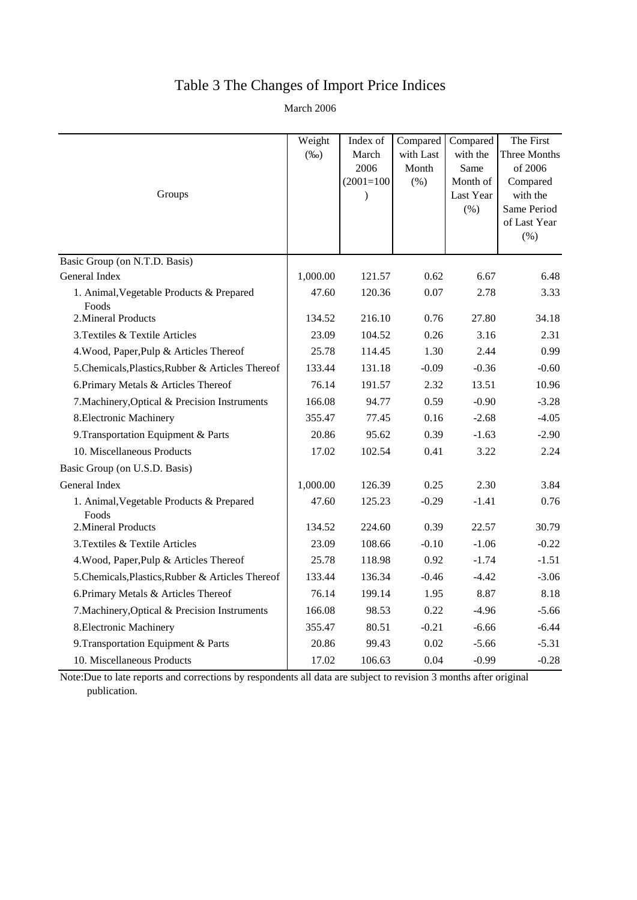## Table 3 The Changes of Import Price Indices

March 2006

|                                                   | Weight   | Index of      | Compared           | Compared         | The First               |
|---------------------------------------------------|----------|---------------|--------------------|------------------|-------------------------|
|                                                   | $(\%0)$  | March<br>2006 | with Last<br>Month | with the<br>Same | Three Months<br>of 2006 |
|                                                   |          | $(2001=100)$  | (% )               | Month of         | Compared                |
| Groups                                            |          | $\lambda$     |                    | Last Year        | with the                |
|                                                   |          |               |                    | $(\%)$           | Same Period             |
|                                                   |          |               |                    |                  | of Last Year            |
|                                                   |          |               |                    |                  | (%)                     |
| Basic Group (on N.T.D. Basis)                     |          |               |                    |                  |                         |
| General Index                                     | 1,000.00 | 121.57        | 0.62               | 6.67             | 6.48                    |
| 1. Animal, Vegetable Products & Prepared<br>Foods | 47.60    | 120.36        | 0.07               | 2.78             | 3.33                    |
| 2. Mineral Products                               | 134.52   | 216.10        | 0.76               | 27.80            | 34.18                   |
| 3. Textiles & Textile Articles                    | 23.09    | 104.52        | 0.26               | 3.16             | 2.31                    |
| 4. Wood, Paper, Pulp & Articles Thereof           | 25.78    | 114.45        | 1.30               | 2.44             | 0.99                    |
| 5. Chemicals, Plastics, Rubber & Articles Thereof | 133.44   | 131.18        | $-0.09$            | $-0.36$          | $-0.60$                 |
| 6. Primary Metals & Articles Thereof              | 76.14    | 191.57        | 2.32               | 13.51            | 10.96                   |
| 7. Machinery, Optical & Precision Instruments     | 166.08   | 94.77         | 0.59               | $-0.90$          | $-3.28$                 |
| 8. Electronic Machinery                           | 355.47   | 77.45         | 0.16               | $-2.68$          | $-4.05$                 |
| 9. Transportation Equipment & Parts               | 20.86    | 95.62         | 0.39               | $-1.63$          | $-2.90$                 |
| 10. Miscellaneous Products                        | 17.02    | 102.54        | 0.41               | 3.22             | 2.24                    |
| Basic Group (on U.S.D. Basis)                     |          |               |                    |                  |                         |
| General Index                                     | 1,000.00 | 126.39        | 0.25               | 2.30             | 3.84                    |
| 1. Animal, Vegetable Products & Prepared<br>Foods | 47.60    | 125.23        | $-0.29$            | $-1.41$          | 0.76                    |
| 2. Mineral Products                               | 134.52   | 224.60        | 0.39               | 22.57            | 30.79                   |
| 3. Textiles & Textile Articles                    | 23.09    | 108.66        | $-0.10$            | $-1.06$          | $-0.22$                 |
| 4. Wood, Paper, Pulp & Articles Thereof           | 25.78    | 118.98        | 0.92               | $-1.74$          | $-1.51$                 |
| 5. Chemicals, Plastics, Rubber & Articles Thereof | 133.44   | 136.34        | $-0.46$            | $-4.42$          | $-3.06$                 |
| 6. Primary Metals & Articles Thereof              | 76.14    | 199.14        | 1.95               | 8.87             | 8.18                    |
| 7. Machinery, Optical & Precision Instruments     | 166.08   | 98.53         | 0.22               | $-4.96$          | $-5.66$                 |
| 8. Electronic Machinery                           | 355.47   | 80.51         | $-0.21$            | $-6.66$          | $-6.44$                 |
| 9. Transportation Equipment & Parts               | 20.86    | 99.43         | 0.02               | $-5.66$          | $-5.31$                 |
| 10. Miscellaneous Products                        | 17.02    | 106.63        | 0.04               | $-0.99$          | $-0.28$                 |

Note:Due to late reports and corrections by respondents all data are subject to revision 3 months after original publication.